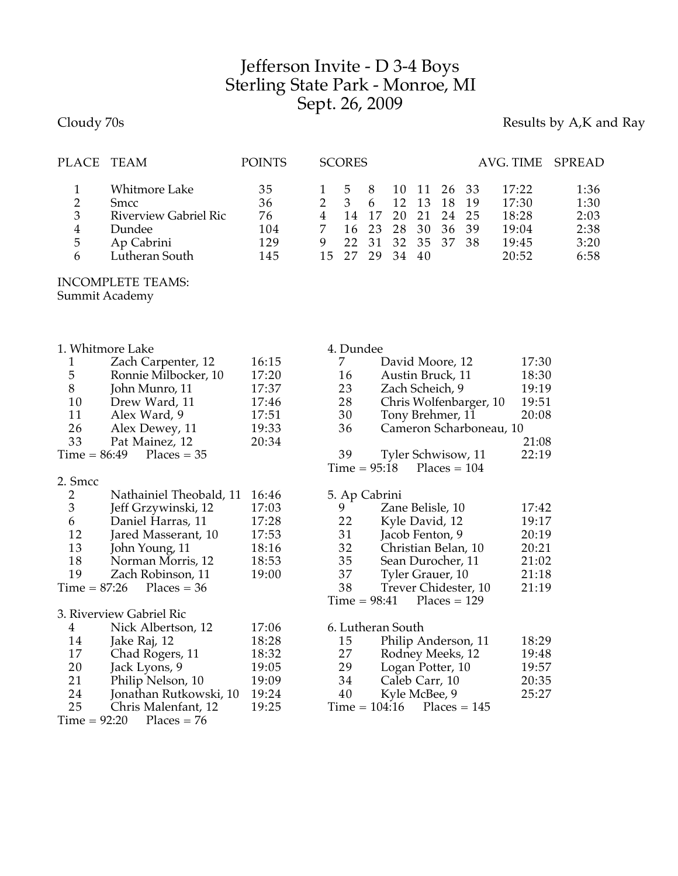## Jefferson Invite - D 3-4 Boys Sterling State Park - Monroe, MI Sept. 26, 2009

## Cloudy 70s **Results by A,K and Ray**

| PLACE TEAM            |                                                                                                               | <b>POINTS</b>                       |   | <b>SCORES</b>                                 |                    |                                                    |                |                                  |      | AVG. TIME SPREAD                                   |                                              |
|-----------------------|---------------------------------------------------------------------------------------------------------------|-------------------------------------|---|-----------------------------------------------|--------------------|----------------------------------------------------|----------------|----------------------------------|------|----------------------------------------------------|----------------------------------------------|
| 2<br>3<br>4<br>5<br>6 | <b>Whitmore Lake</b><br><b>Smcc</b><br><b>Riverview Gabriel Ric</b><br>Dundee<br>Ap Cabrini<br>Lutheran South | 35<br>36<br>76<br>104<br>129<br>145 | 9 | 5<br>$\mathcal{B}$<br>14<br>16<br>22<br>15 27 | 8<br>6<br>17<br>23 | 10<br>12<br>20<br>28<br>31 32 35 37 38<br>29 34 40 | 13<br>21<br>30 | 11 26 33<br>18<br>24 25<br>36 39 | - 19 | 17:22<br>17:30<br>18:28<br>19:04<br>19:45<br>20:52 | 1:36<br>1:30<br>2:03<br>2:38<br>3:20<br>6:58 |
|                       | <b>INCOMPLETE TEAMS:</b><br>$C = 1$                                                                           |                                     |   |                                               |                    |                                                    |                |                                  |      |                                                    |                                              |

Summit Academy

| 1. Whitmore Lake |                            |       |    | 4. Dundee                   |       |  |  |  |
|------------------|----------------------------|-------|----|-----------------------------|-------|--|--|--|
|                  | Zach Carpenter, 12         | 16:15 |    | David Moore, 12             | 17:30 |  |  |  |
| 5                | Ronnie Milbocker, 10       | 17:20 | 16 | Austin Bruck, 11            | 18:30 |  |  |  |
| 8                | John Munro, 11             | 17:37 | 23 | Zach Scheich, 9             | 19:19 |  |  |  |
| 10               | Drew Ward, 11              | 17:46 | 28 | Chris Wolfenbarger, 10      | 19:51 |  |  |  |
| 11               | Alex Ward, 9               | 17:51 | 30 | Tony Brehmer, 11            | 20:08 |  |  |  |
| 26               | Alex Dewey, 11             | 19:33 | 36 | Cameron Scharboneau, 10     |       |  |  |  |
| 33               | Pat Mainez, 12             | 20:34 |    |                             | 21:08 |  |  |  |
|                  | $Time = 86:49$ Places = 35 |       | 39 | Tyler Schwisow, 11          | 22:19 |  |  |  |
|                  |                            |       |    | $Time = 95:18$ Places = 104 |       |  |  |  |

| 2. Smcc |                              |       |
|---------|------------------------------|-------|
| 2       | Nathainiel Theobald, 11      | 16:46 |
| 3       | Jeff Grzywinski, 12          | 17:03 |
| 6       | Daniel Harras, 11            | 17:28 |
| 12      | Jared Masserant, 10          | 17:53 |
| 13      | John Young, 11               | 18:16 |
| 18      | Norman Morris, 12            | 18:53 |
| 19      | Zach Robinson, 11            | 19:00 |
|         | Time = $87:26$ Places = $36$ |       |
|         | 3. Riverview Gabriel Ric     |       |

| 4  | Nick Albertson, 12         | 17:06 |
|----|----------------------------|-------|
| 14 | Jake Raj, 12               | 18:28 |
| 17 | Chad Rogers, 11            | 18:32 |
| 20 | Jack Lyons, 9              | 19:05 |
| 21 | Philip Nelson, 10          | 19:09 |
| 24 | Jonathan Rutkowski, 10     | 19:24 |
| 25 | Chris Malenfant, 12        | 19:25 |
|    | $Time = 92:20$ Places = 76 |       |
|    |                            |       |

| 5. Ap Cabrini |                             |       |
|---------------|-----------------------------|-------|
| y             | Zane Belisle, 10            | 17:42 |
| 22            | Kyle David, 12              | 19:17 |
| 31            | Jacob Fenton, 9             | 20:19 |
| 32            | Christian Belan, 10         | 20:21 |
| 35            | Sean Durocher, 11           | 21:02 |
| 37            | Tyler Grauer, 10            | 21:18 |
| 38            | Trever Chidester, 10        | 21:19 |
|               | $Time = 98:41$ Places = 129 |       |
|               |                             |       |

|    | 6. Lutheran South            |       |
|----|------------------------------|-------|
| 15 | Philip Anderson, 11          | 18:29 |
| 27 | Rodney Meeks, 12             | 19:48 |
| 29 | Logan Potter, 10             | 19:57 |
| 34 | Caleb Carr, 10               | 20:35 |
| 40 | Kyle McBee, 9                | 25:27 |
|    | $Time = 104:16$ Places = 145 |       |